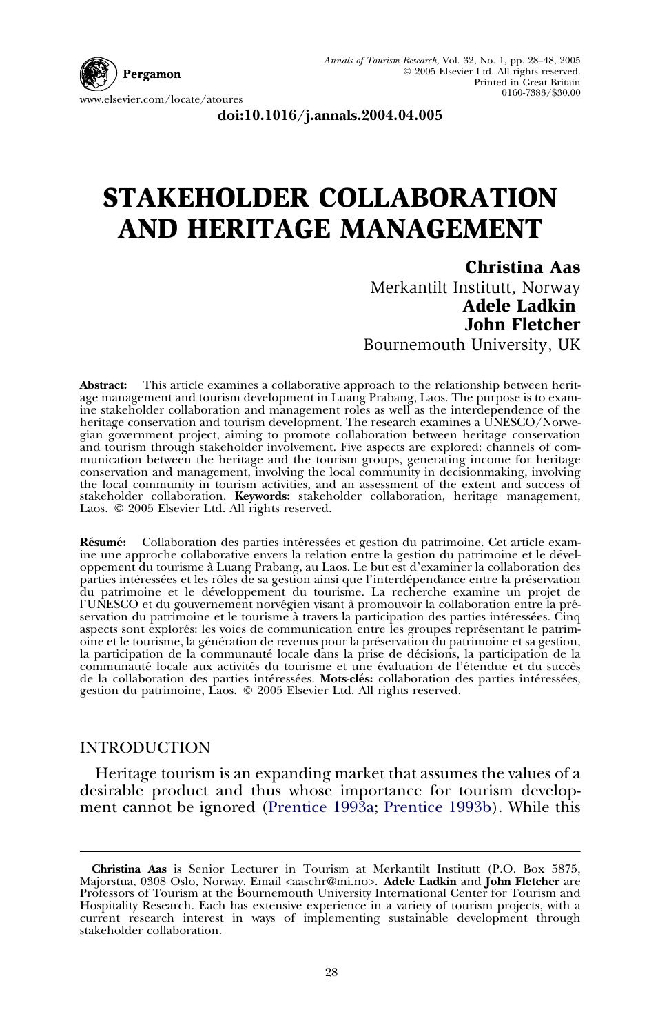

doi:10.1016/j.annals.2004.04.005

# STAKEHOLDER COLLABORATION AND HERITAGE MANAGEMENT

## Christina Aas

Merkantilt Institutt, Norway Adele Ladkin John Fletcher Bournemouth University, UK

Abstract: This article examines a collaborative approach to the relationship between heritage management and tourism development in Luang Prabang, Laos. The purpose is to examine stakeholder collaboration and management roles as well as the interdependence of the heritage conservation and tourism development. The research examines a UNESCO/Norwegian government project, aiming to promote collaboration between heritage conservation and tourism through stakeholder involvement. Five aspects are explored: channels of communication between the heritage and the tourism groups, generating income for heritage conservation and management, involving the local community in decisionmaking, involving the local community in tourism activities, and an assessment of the extent and success of stakeholder collaboration. **Keywords:** stakeholder collaboration, heritage management,<br>Laos. © 2005 Elsevier Ltd. All rights reserved.

Résumé: Collaboration des parties intéressées et gestion du patrimoine. Cet article examine une approche collaborative envers la relation entre la gestion du patrimoine et le développement du tourisme a` Luang Prabang, au Laos. Le but est d'examiner la collaboration des parties intéressées et les rôles de sa gestion ainsi que l'interdépendance entre la préservation du patrimoine et le de´veloppement du tourisme. La recherche examine un projet de l'UNESCO et du gouvernement norvégien visant à promouvoir la collaboration entre la préservation du patrimoine et le tourisme à travers la participation des parties intéressées. Cinq aspects sont explorés: les voies de communication entre les groupes représentant le patrimoine et le tourisme, la génération de revenus pour la préservation du patrimoine et sa gestion, la participation de la communauté locale dans la prise de décisions, la participation de la<br>communauté locale aux activités du tourisme et une évaluation de l'étendue et du succès de la collaboration des parties intéressées. Mots-clés: collaboration des parties intéressées, gestion du patrimoine, Laos. 2005 Elsevier Ltd. All rights reserved.

## INTRODUCTION

Heritage tourism is an expanding market that assumes the values of a desirable product and thus whose importance for tourism development cannot be ignored ([Prentice 1993a](#page-19-0); [Prentice 1993b\)](#page-19-0). While this

Christina Aas is Senior Lecturer in Tourism at Merkantilt Institutt (P.O. Box 5875, Professors of Tourism at the Bournemouth University International Center for Tourism and Hospitality Research. Each has extensive experience in a variety of tourism projects, with a current research interest in ways of implementing sustainable development through stakeholder collaboration.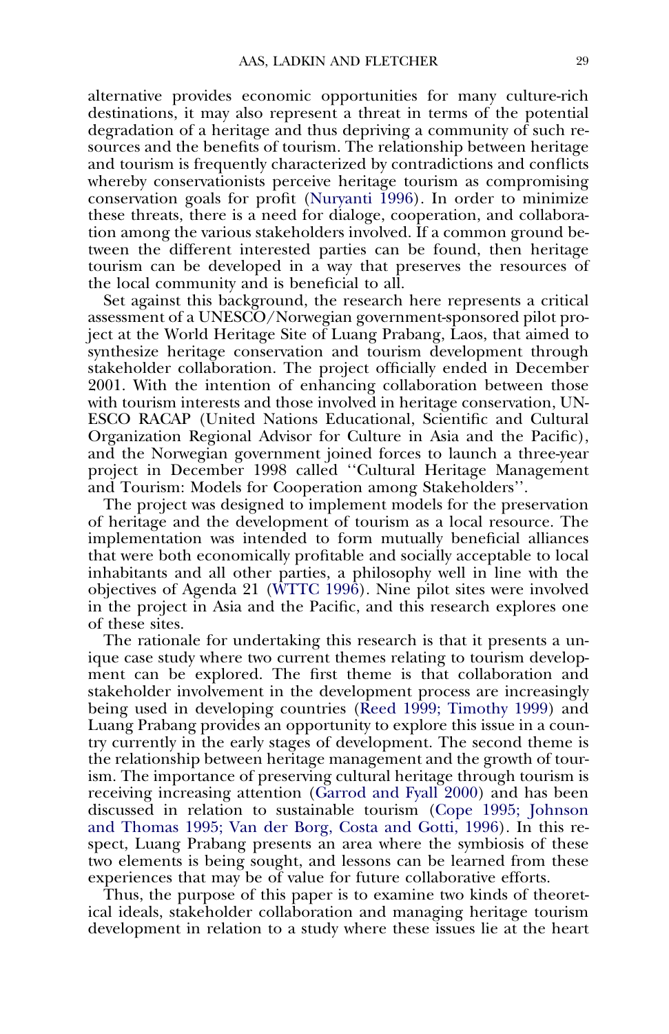alternative provides economic opportunities for many culture-rich destinations, it may also represent a threat in terms of the potential degradation of a heritage and thus depriving a community of such resources and the benefits of tourism. The relationship between heritage and tourism is frequently characterized by contradictions and conflicts whereby conservationists perceive heritage tourism as compromising conservation goals for profit ([Nuryanti 1996](#page-19-0)). In order to minimize these threats, there is a need for dialoge, cooperation, and collaboration among the various stakeholders involved. If a common ground between the different interested parties can be found, then heritage tourism can be developed in a way that preserves the resources of the local community and is beneficial to all.

Set against this background, the research here represents a critical assessment of a UNESCO/Norwegian government-sponsored pilot project at the World Heritage Site of Luang Prabang, Laos, that aimed to synthesize heritage conservation and tourism development through stakeholder collaboration. The project officially ended in December 2001. With the intention of enhancing collaboration between those with tourism interests and those involved in heritage conservation, UN-ESCO RACAP (United Nations Educational, Scientific and Cultural Organization Regional Advisor for Culture in Asia and the Pacific), and the Norwegian government joined forces to launch a three-year project in December 1998 called ''Cultural Heritage Management and Tourism: Models for Cooperation among Stakeholders''.

The project was designed to implement models for the preservation of heritage and the development of tourism as a local resource. The implementation was intended to form mutually beneficial alliances that were both economically profitable and socially acceptable to local inhabitants and all other parties, a philosophy well in line with the objectives of Agenda 21 ([WTTC 1996](#page-20-0)). Nine pilot sites were involved in the project in Asia and the Pacific, and this research explores one of these sites.

The rationale for undertaking this research is that it presents a unique case study where two current themes relating to tourism development can be explored. The first theme is that collaboration and stakeholder involvement in the development process are increasingly being used in developing countries ([Reed 1999; Timothy 1999](#page-19-0)) and Luang Prabang provides an opportunity to explore this issue in a country currently in the early stages of development. The second theme is the relationship between heritage management and the growth of tourism. The importance of preserving cultural heritage through tourism is receiving increasing attention [\(Garrod and Fyall 2000\)](#page-18-0) and has been discussed in relation to sustainable tourism [\(Cope 1995; Johnson](#page-17-0) [and Thomas 1995; Van der Borg, Costa and Gotti, 1996](#page-17-0)). In this respect, Luang Prabang presents an area where the symbiosis of these two elements is being sought, and lessons can be learned from these experiences that may be of value for future collaborative efforts.

Thus, the purpose of this paper is to examine two kinds of theoretical ideals, stakeholder collaboration and managing heritage tourism development in relation to a study where these issues lie at the heart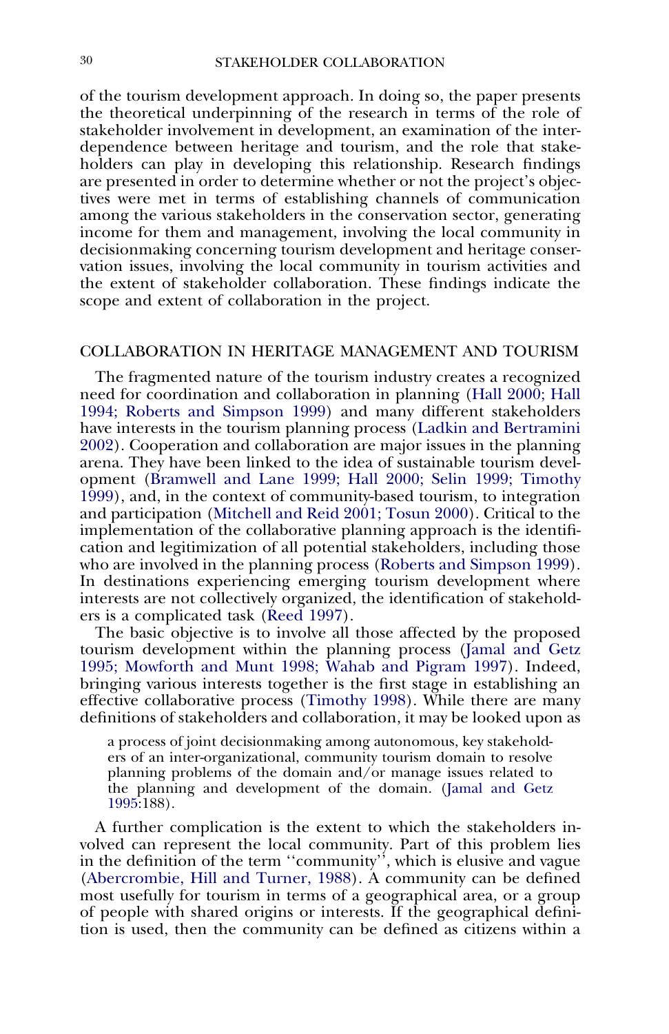of the tourism development approach. In doing so, the paper presents the theoretical underpinning of the research in terms of the role of stakeholder involvement in development, an examination of the interdependence between heritage and tourism, and the role that stakeholders can play in developing this relationship. Research findings are presented in order to determine whether or not the project's objectives were met in terms of establishing channels of communication among the various stakeholders in the conservation sector, generating income for them and management, involving the local community in decisionmaking concerning tourism development and heritage conservation issues, involving the local community in tourism activities and the extent of stakeholder collaboration. These findings indicate the scope and extent of collaboration in the project.

## COLLABORATION IN HERITAGE MANAGEMENT AND TOURISM

The fragmented nature of the tourism industry creates a recognized need for coordination and collaboration in planning [\(Hall 2000; Hall](#page-18-0) [1994; Roberts and Simpson 1999\)](#page-18-0) and many different stakeholders have interests in the tourism planning process [\(Ladkin and Bertramini](#page-18-0) [2002](#page-18-0)). Cooperation and collaboration are major issues in the planning arena. They have been linked to the idea of sustainable tourism development ([Bramwell and Lane 1999; Hall 2000; Selin 1999; Timothy](#page-17-0) [1999](#page-17-0)), and, in the context of community-based tourism, to integration and participation [\(Mitchell and Reid 2001; Tosun 2000\)](#page-19-0). Critical to the implementation of the collaborative planning approach is the identification and legitimization of all potential stakeholders, including those who are involved in the planning process [\(Roberts and Simpson 1999\)](#page-19-0). In destinations experiencing emerging tourism development where interests are not collectively organized, the identification of stakeholders is a complicated task [\(Reed 1997\)](#page-19-0).

The basic objective is to involve all those affected by the proposed tourism development within the planning process [\(Jamal and Getz](#page-18-0) [1995; Mowforth and Munt 1998; Wahab and Pigram 1997\)](#page-18-0). Indeed, bringing various interests together is the first stage in establishing an effective collaborative process [\(Timothy 1998\)](#page-20-0). While there are many definitions of stakeholders and collaboration, it may be looked upon as

a process of joint decisionmaking among autonomous, key stakeholders of an inter-organizational, community tourism domain to resolve planning problems of the domain and/or manage issues related to the planning and development of the domain. ([Jamal and Getz](#page-18-0) [1995](#page-18-0):188).

A further complication is the extent to which the stakeholders involved can represent the local community. Part of this problem lies in the definition of the term ''community'', which is elusive and vague ([Abercrombie, Hill and Turner, 1988](#page-17-0)). A community can be defined most usefully for tourism in terms of a geographical area, or a group of people with shared origins or interests. If the geographical definition is used, then the community can be defined as citizens within a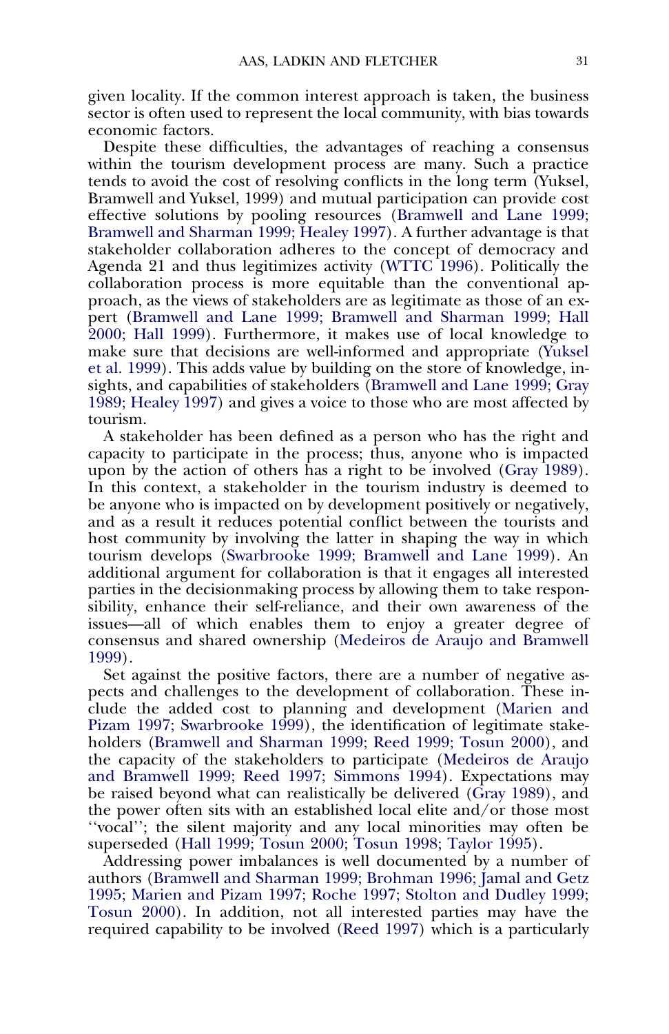given locality. If the common interest approach is taken, the business sector is often used to represent the local community, with bias towards economic factors.

Despite these difficulties, the advantages of reaching a consensus within the tourism development process are many. Such a practice tends to avoid the cost of resolving conflicts in the long term (Yuksel, Bramwell and Yuksel, 1999) and mutual participation can provide cost effective solutions by pooling resources ([Bramwell and Lane 1999;](#page-17-0) [Bramwell and Sharman 1999; Healey 1997\)](#page-17-0). A further advantage is that stakeholder collaboration adheres to the concept of democracy and Agenda 21 and thus legitimizes activity ([WTTC 1996\)](#page-20-0). Politically the collaboration process is more equitable than the conventional approach, as the views of stakeholders are as legitimate as those of an expert [\(Bramwell and Lane 1999; Bramwell and Sharman 1999; Hall](#page-17-0) [2000; Hall 1999](#page-17-0)). Furthermore, it makes use of local knowledge to make sure that decisions are well-informed and appropriate ([Yuksel](#page-20-0) [et al. 1999\)](#page-20-0). This adds value by building on the store of knowledge, insights, and capabilities of stakeholders [\(Bramwell and Lane 1999; Gray](#page-17-0) [1989; Healey 1997](#page-17-0)) and gives a voice to those who are most affected by tourism.

A stakeholder has been defined as a person who has the right and capacity to participate in the process; thus, anyone who is impacted upon by the action of others has a right to be involved [\(Gray 1989](#page-18-0)). In this context, a stakeholder in the tourism industry is deemed to be anyone who is impacted on by development positively or negatively, and as a result it reduces potential conflict between the tourists and host community by involving the latter in shaping the way in which tourism develops [\(Swarbrooke 1999; Bramwell and Lane 1999](#page-19-0)). An additional argument for collaboration is that it engages all interested parties in the decisionmaking process by allowing them to take responsibility, enhance their self-reliance, and their own awareness of the issues—all of which enables them to enjoy a greater degree of consensus and shared ownership ([Medeiros de Araujo and Bramwell](#page-18-0) [1999](#page-18-0)).

Set against the positive factors, there are a number of negative aspects and challenges to the development of collaboration. These include the added cost to planning and development [\(Marien and](#page-18-0) [Pizam 1997; Swarbrooke 1999\)](#page-18-0), the identification of legitimate stakeholders ([Bramwell and Sharman 1999; Reed 1999; Tosun 2000\)](#page-17-0), and the capacity of the stakeholders to participate ([Medeiros de Araujo](#page-18-0) [and Bramwell 1999; Reed 1997; Simmons 1994\)](#page-18-0). Expectations may be raised beyond what can realistically be delivered [\(Gray 1989](#page-18-0)), and the power often sits with an established local elite and/or those most ''vocal''; the silent majority and any local minorities may often be superseded ([Hall 1999; Tosun 2000; Tosun 1998; Taylor 1995\)](#page-18-0).

Addressing power imbalances is well documented by a number of authors ([Bramwell and Sharman 1999; Brohman 1996; Jamal and Getz](#page-17-0) [1995; Marien and Pizam 1997; Roche 1997; Stolton and Dudley 1999;](#page-17-0) [Tosun 2000](#page-17-0)). In addition, not all interested parties may have the required capability to be involved ([Reed 1997\)](#page-19-0) which is a particularly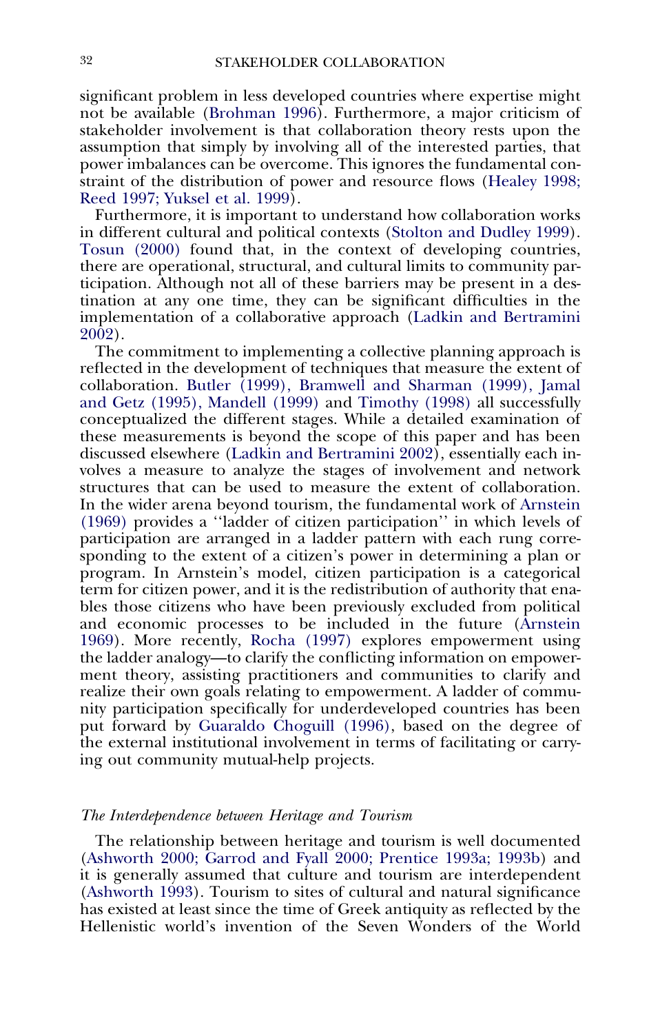significant problem in less developed countries where expertise might not be available ([Brohman 1996\)](#page-17-0). Furthermore, a major criticism of stakeholder involvement is that collaboration theory rests upon the assumption that simply by involving all of the interested parties, that power imbalances can be overcome. This ignores the fundamental constraint of the distribution of power and resource flows [\(Healey 1998;](#page-18-0) [Reed 1997; Yuksel et al. 1999\)](#page-18-0).

Furthermore, it is important to understand how collaboration works in different cultural and political contexts [\(Stolton and Dudley 1999\)](#page-19-0). [Tosun \(2000\)](#page-20-0) found that, in the context of developing countries, there are operational, structural, and cultural limits to community participation. Although not all of these barriers may be present in a destination at any one time, they can be significant difficulties in the implementation of a collaborative approach [\(Ladkin and Bertramini](#page-18-0) [2002](#page-18-0)).

The commitment to implementing a collective planning approach is reflected in the development of techniques that measure the extent of collaboration. [Butler \(1999\), Bramwell and Sharman \(1999\), Jamal](#page-17-0) [and Getz \(1995\), Mandell \(1999\)](#page-17-0) and [Timothy \(1998\)](#page-20-0) all successfully conceptualized the different stages. While a detailed examination of these measurements is beyond the scope of this paper and has been discussed elsewhere [\(Ladkin and Bertramini 2002](#page-18-0)), essentially each involves a measure to analyze the stages of involvement and network structures that can be used to measure the extent of collaboration. In the wider arena beyond tourism, the fundamental work of [Arnstein](#page-17-0) [\(1969\)](#page-17-0) provides a ''ladder of citizen participation'' in which levels of participation are arranged in a ladder pattern with each rung corresponding to the extent of a citizen's power in determining a plan or program. In Arnstein's model, citizen participation is a categorical term for citizen power, and it is the redistribution of authority that enables those citizens who have been previously excluded from political and economic processes to be included in the future [\(Arnstein](#page-17-0) [1969](#page-17-0)). More recently, [Rocha \(1997\)](#page-19-0) explores empowerment using the ladder analogy—to clarify the conflicting information on empowerment theory, assisting practitioners and communities to clarify and realize their own goals relating to empowerment. A ladder of community participation specifically for underdeveloped countries has been put forward by [Guaraldo Choguill \(1996\),](#page-18-0) based on the degree of the external institutional involvement in terms of facilitating or carrying out community mutual-help projects.

#### The Interdependence between Heritage and Tourism

The relationship between heritage and tourism is well documented ([Ashworth 2000; Garrod and Fyall 2000; Prentice 1993a; 1993b](#page-17-0)) and it is generally assumed that culture and tourism are interdependent ([Ashworth 1993](#page-17-0)). Tourism to sites of cultural and natural significance has existed at least since the time of Greek antiquity as reflected by the Hellenistic world's invention of the Seven Wonders of the World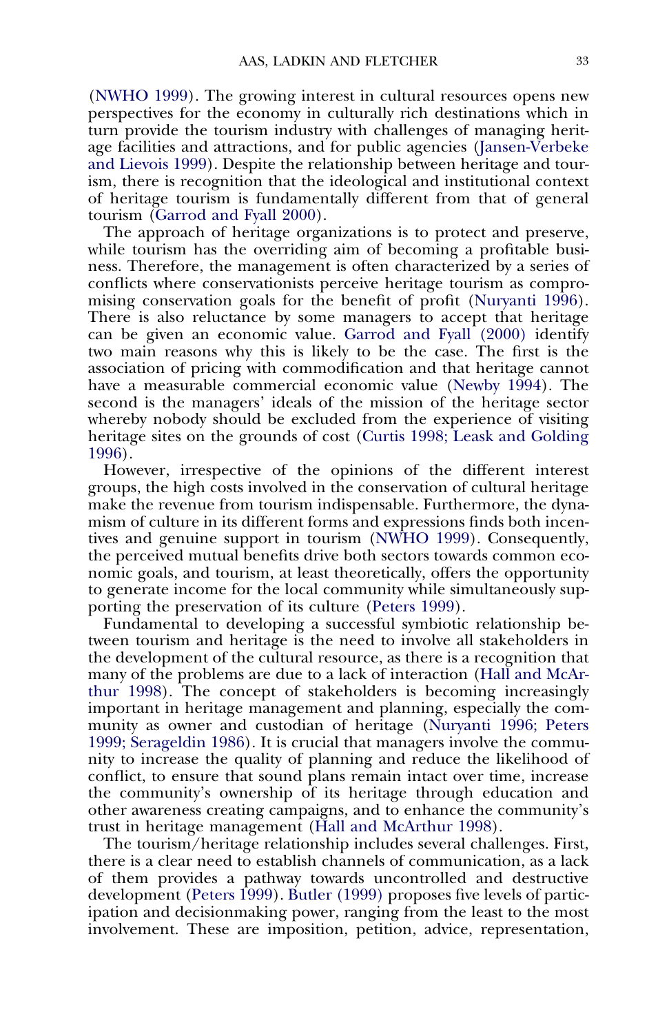[\(NWHO 1999](#page-19-0)). The growing interest in cultural resources opens new perspectives for the economy in culturally rich destinations which in turn provide the tourism industry with challenges of managing heritage facilities and attractions, and for public agencies ([Jansen-Verbeke](#page-18-0) [and Lievois 1999](#page-18-0)). Despite the relationship between heritage and tourism, there is recognition that the ideological and institutional context of heritage tourism is fundamentally different from that of general tourism [\(Garrod and Fyall 2000\)](#page-18-0).

The approach of heritage organizations is to protect and preserve, while tourism has the overriding aim of becoming a profitable business. Therefore, the management is often characterized by a series of conflicts where conservationists perceive heritage tourism as compromising conservation goals for the benefit of profit ([Nuryanti 1996](#page-19-0)). There is also reluctance by some managers to accept that heritage can be given an economic value. [Garrod and Fyall \(2000\)](#page-18-0) identify two main reasons why this is likely to be the case. The first is the association of pricing with commodification and that heritage cannot have a measurable commercial economic value ([Newby 1994\)](#page-19-0). The second is the managers' ideals of the mission of the heritage sector whereby nobody should be excluded from the experience of visiting heritage sites on the grounds of cost [\(Curtis 1998; Leask and Golding](#page-17-0) [1996](#page-17-0)).

However, irrespective of the opinions of the different interest groups, the high costs involved in the conservation of cultural heritage make the revenue from tourism indispensable. Furthermore, the dynamism of culture in its different forms and expressions finds both incentives and genuine support in tourism [\(NWHO 1999\)](#page-19-0). Consequently, the perceived mutual benefits drive both sectors towards common economic goals, and tourism, at least theoretically, offers the opportunity to generate income for the local community while simultaneously supporting the preservation of its culture ([Peters 1999\)](#page-19-0).

Fundamental to developing a successful symbiotic relationship between tourism and heritage is the need to involve all stakeholders in the development of the cultural resource, as there is a recognition that many of the problems are due to a lack of interaction [\(Hall and McAr](#page-18-0)[thur 1998](#page-18-0)). The concept of stakeholders is becoming increasingly important in heritage management and planning, especially the community as owner and custodian of heritage [\(Nuryanti 1996; Peters](#page-19-0) [1999; Serageldin 1986\)](#page-19-0). It is crucial that managers involve the community to increase the quality of planning and reduce the likelihood of conflict, to ensure that sound plans remain intact over time, increase the community's ownership of its heritage through education and other awareness creating campaigns, and to enhance the community's trust in heritage management ([Hall and McArthur 1998\)](#page-18-0).

The tourism/heritage relationship includes several challenges. First, there is a clear need to establish channels of communication, as a lack of them provides a pathway towards uncontrolled and destructive development ([Peters 1999\)](#page-19-0). [Butler \(1999\)](#page-17-0) proposes five levels of participation and decisionmaking power, ranging from the least to the most involvement. These are imposition, petition, advice, representation,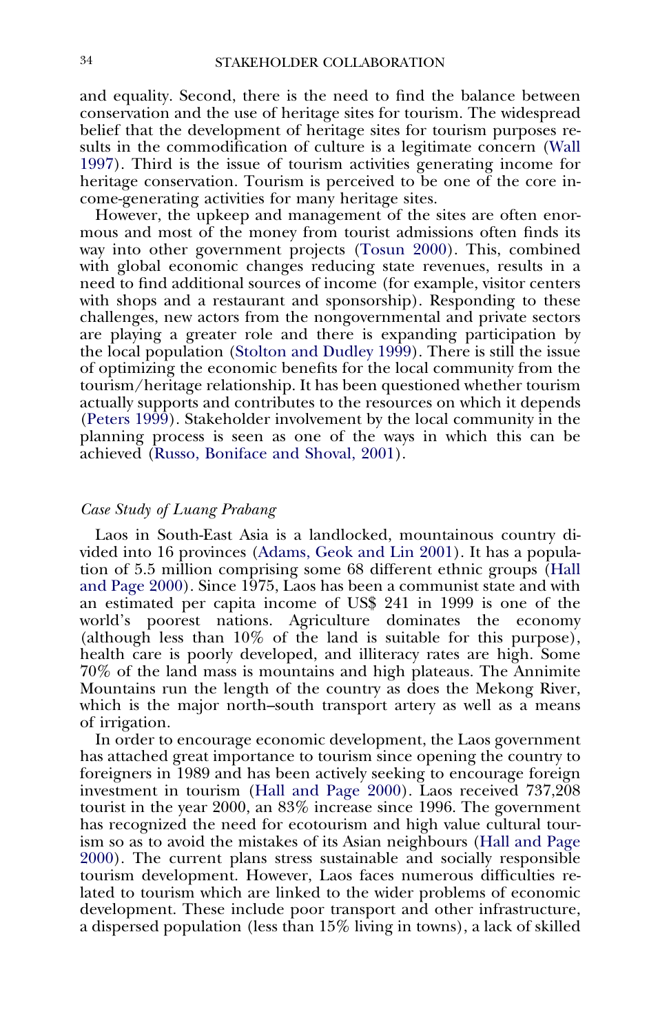and equality. Second, there is the need to find the balance between conservation and the use of heritage sites for tourism. The widespread belief that the development of heritage sites for tourism purposes results in the commodification of culture is a legitimate concern ([Wall](#page-20-0) [1997](#page-20-0)). Third is the issue of tourism activities generating income for heritage conservation. Tourism is perceived to be one of the core income-generating activities for many heritage sites.

However, the upkeep and management of the sites are often enormous and most of the money from tourist admissions often finds its way into other government projects [\(Tosun 2000\)](#page-20-0). This, combined with global economic changes reducing state revenues, results in a need to find additional sources of income (for example, visitor centers with shops and a restaurant and sponsorship). Responding to these challenges, new actors from the nongovernmental and private sectors are playing a greater role and there is expanding participation by the local population ([Stolton and Dudley 1999](#page-19-0)). There is still the issue of optimizing the economic benefits for the local community from the tourism/heritage relationship. It has been questioned whether tourism actually supports and contributes to the resources on which it depends ([Peters 1999\)](#page-19-0). Stakeholder involvement by the local community in the planning process is seen as one of the ways in which this can be achieved [\(Russo, Boniface and Shoval, 2001](#page-19-0)).

## Case Study of Luang Prabang

Laos in South-East Asia is a landlocked, mountainous country divided into 16 provinces [\(Adams, Geok and Lin 2001](#page-17-0)). It has a population of 5.5 million comprising some 68 different ethnic groups ([Hall](#page-18-0) [and Page 2000\)](#page-18-0). Since 1975, Laos has been a communist state and with an estimated per capita income of US\$ 241 in 1999 is one of the world's poorest nations. Agriculture dominates the economy (although less than 10% of the land is suitable for this purpose), health care is poorly developed, and illiteracy rates are high. Some 70% of the land mass is mountains and high plateaus. The Annimite Mountains run the length of the country as does the Mekong River, which is the major north–south transport artery as well as a means of irrigation.

In order to encourage economic development, the Laos government has attached great importance to tourism since opening the country to foreigners in 1989 and has been actively seeking to encourage foreign investment in tourism [\(Hall and Page 2000\)](#page-18-0). Laos received 737,208 tourist in the year 2000, an 83% increase since 1996. The government has recognized the need for ecotourism and high value cultural tourism so as to avoid the mistakes of its Asian neighbours [\(Hall and Page](#page-18-0) [2000](#page-18-0)). The current plans stress sustainable and socially responsible tourism development. However, Laos faces numerous difficulties related to tourism which are linked to the wider problems of economic development. These include poor transport and other infrastructure, a dispersed population (less than 15% living in towns), a lack of skilled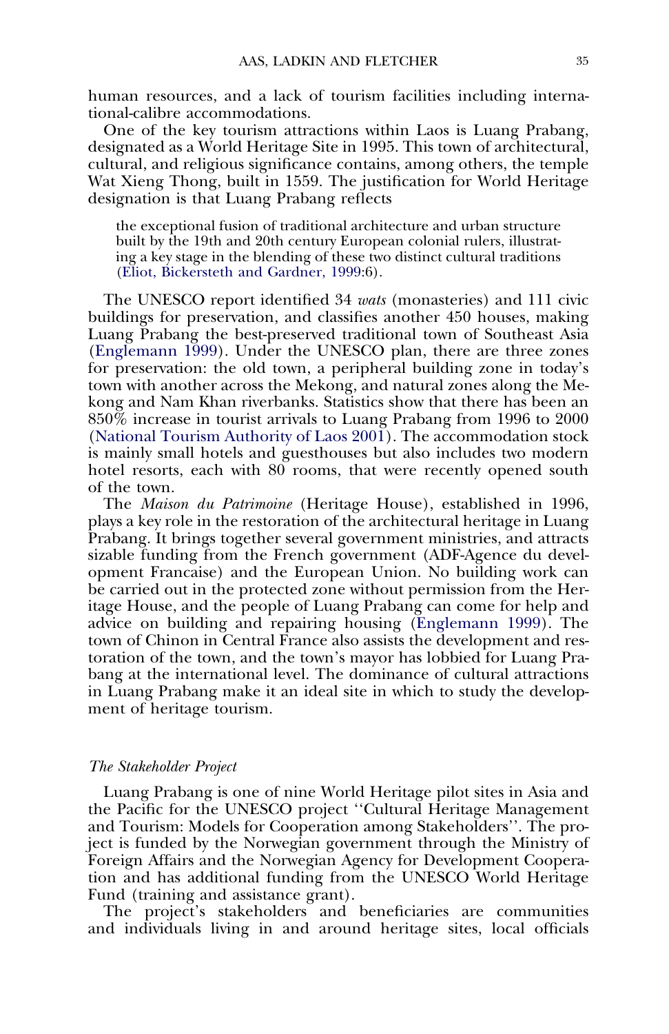human resources, and a lack of tourism facilities including international-calibre accommodations.

One of the key tourism attractions within Laos is Luang Prabang, designated as a World Heritage Site in 1995. This town of architectural, cultural, and religious significance contains, among others, the temple Wat Xieng Thong, built in 1559. The justification for World Heritage designation is that Luang Prabang reflects

the exceptional fusion of traditional architecture and urban structure built by the 19th and 20th century European colonial rulers, illustrating a key stage in the blending of these two distinct cultural traditions ([Eliot, Bickersteth and Gardner, 1999:](#page-18-0)6).

The UNESCO report identified 34 wats (monasteries) and 111 civic buildings for preservation, and classifies another 450 houses, making Luang Prabang the best-preserved traditional town of Southeast Asia [\(Englemann 1999](#page-18-0)). Under the UNESCO plan, there are three zones for preservation: the old town, a peripheral building zone in today's town with another across the Mekong, and natural zones along the Mekong and Nam Khan riverbanks. Statistics show that there has been an 850% increase in tourist arrivals to Luang Prabang from 1996 to 2000 [\(National Tourism Authority of Laos 2001](#page-19-0)). The accommodation stock is mainly small hotels and guesthouses but also includes two modern hotel resorts, each with 80 rooms, that were recently opened south of the town.

The Maison du Patrimoine (Heritage House), established in 1996, plays a key role in the restoration of the architectural heritage in Luang Prabang. It brings together several government ministries, and attracts sizable funding from the French government (ADF-Agence du development Francaise) and the European Union. No building work can be carried out in the protected zone without permission from the Heritage House, and the people of Luang Prabang can come for help and advice on building and repairing housing [\(Englemann 1999\)](#page-18-0). The town of Chinon in Central France also assists the development and restoration of the town, and the town's mayor has lobbied for Luang Prabang at the international level. The dominance of cultural attractions in Luang Prabang make it an ideal site in which to study the development of heritage tourism.

#### The Stakeholder Project

Luang Prabang is one of nine World Heritage pilot sites in Asia and the Pacific for the UNESCO project ''Cultural Heritage Management and Tourism: Models for Cooperation among Stakeholders''. The project is funded by the Norwegian government through the Ministry of Foreign Affairs and the Norwegian Agency for Development Cooperation and has additional funding from the UNESCO World Heritage Fund (training and assistance grant).

The project's stakeholders and beneficiaries are communities and individuals living in and around heritage sites, local officials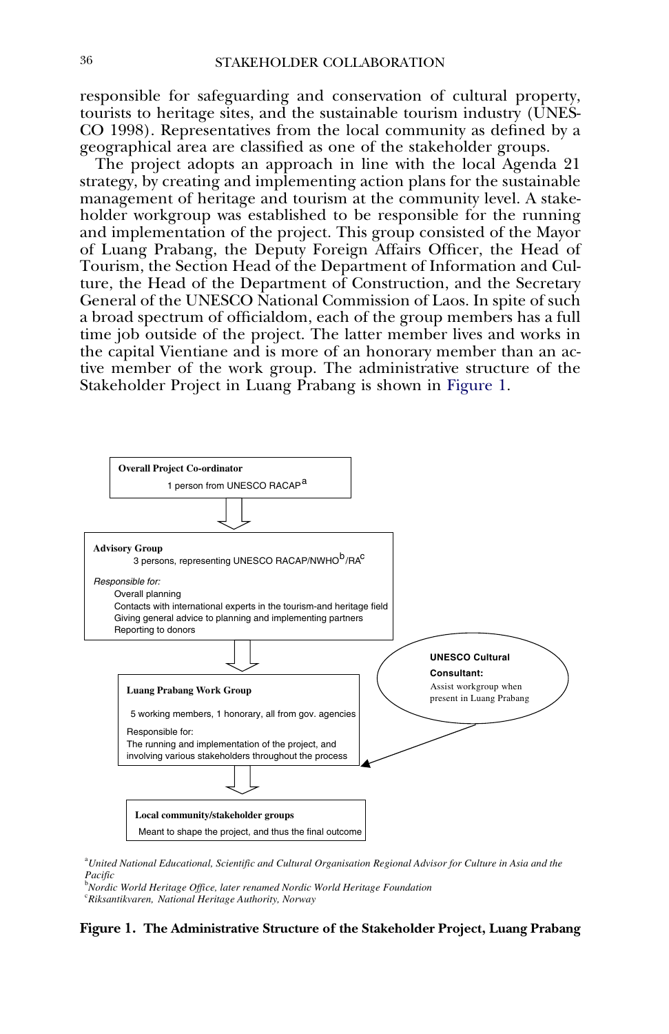responsible for safeguarding and conservation of cultural property, tourists to heritage sites, and the sustainable tourism industry (UNES-CO 1998). Representatives from the local community as defined by a geographical area are classified as one of the stakeholder groups.

The project adopts an approach in line with the local Agenda 21 strategy, by creating and implementing action plans for the sustainable management of heritage and tourism at the community level. A stakeholder workgroup was established to be responsible for the running and implementation of the project. This group consisted of the Mayor of Luang Prabang, the Deputy Foreign Affairs Officer, the Head of Tourism, the Section Head of the Department of Information and Culture, the Head of the Department of Construction, and the Secretary General of the UNESCO National Commission of Laos. In spite of such a broad spectrum of officialdom, each of the group members has a full time job outside of the project. The latter member lives and works in the capital Vientiane and is more of an honorary member than an active member of the work group. The administrative structure of the Stakeholder Project in Luang Prabang is shown in Figure 1.



a *United National Educational, Scientific and Cultural Organisation Regional Advisor for Culture in Asia and the Pacific*

<sup>b</sup>Nordic World Heritage Office, later renamed Nordic World Heritage Foundation<br><sup>c</sup> Bils with your Maticual Heritage Authority Newson

*Riksantikvaren, National Heritage Authority, Norway*

Figure 1. The Administrative Structure of the Stakeholder Project, Luang Prabang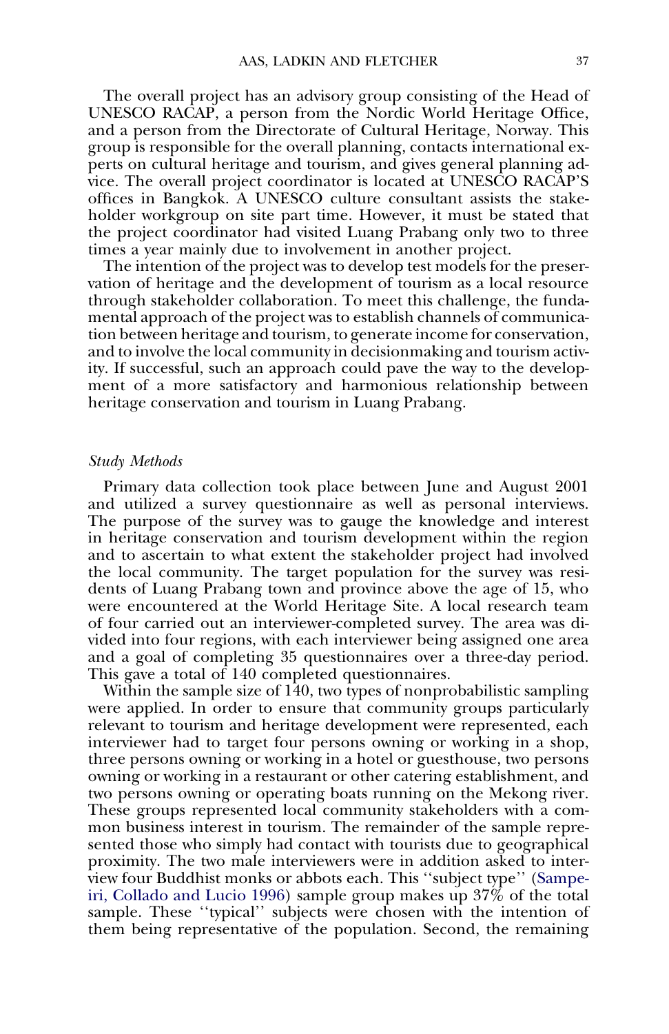The overall project has an advisory group consisting of the Head of UNESCO RACAP, a person from the Nordic World Heritage Office, and a person from the Directorate of Cultural Heritage, Norway. This group is responsible for the overall planning, contacts international experts on cultural heritage and tourism, and gives general planning advice. The overall project coordinator is located at UNESCO RACAP'S offices in Bangkok. A UNESCO culture consultant assists the stakeholder workgroup on site part time. However, it must be stated that the project coordinator had visited Luang Prabang only two to three times a year mainly due to involvement in another project.

The intention of the project was to develop test models for the preservation of heritage and the development of tourism as a local resource through stakeholder collaboration. To meet this challenge, the fundamental approach of the project was to establish channels of communication between heritage and tourism, to generate income for conservation, and to involve the local community in decisionmaking and tourism activity. If successful, such an approach could pave the way to the development of a more satisfactory and harmonious relationship between heritage conservation and tourism in Luang Prabang.

#### Study Methods

Primary data collection took place between June and August 2001 and utilized a survey questionnaire as well as personal interviews. The purpose of the survey was to gauge the knowledge and interest in heritage conservation and tourism development within the region and to ascertain to what extent the stakeholder project had involved the local community. The target population for the survey was residents of Luang Prabang town and province above the age of 15, who were encountered at the World Heritage Site. A local research team of four carried out an interviewer-completed survey. The area was divided into four regions, with each interviewer being assigned one area and a goal of completing 35 questionnaires over a three-day period. This gave a total of 140 completed questionnaires.

Within the sample size of 140, two types of nonprobabilistic sampling were applied. In order to ensure that community groups particularly relevant to tourism and heritage development were represented, each interviewer had to target four persons owning or working in a shop, three persons owning or working in a hotel or guesthouse, two persons owning or working in a restaurant or other catering establishment, and two persons owning or operating boats running on the Mekong river. These groups represented local community stakeholders with a common business interest in tourism. The remainder of the sample represented those who simply had contact with tourists due to geographical proximity. The two male interviewers were in addition asked to interview four Buddhist monks or abbots each. This ''subject type'' [\(Sampe](#page-19-0)[iri, Collado and Lucio 1996\)](#page-19-0) sample group makes up 37% of the total sample. These ''typical'' subjects were chosen with the intention of them being representative of the population. Second, the remaining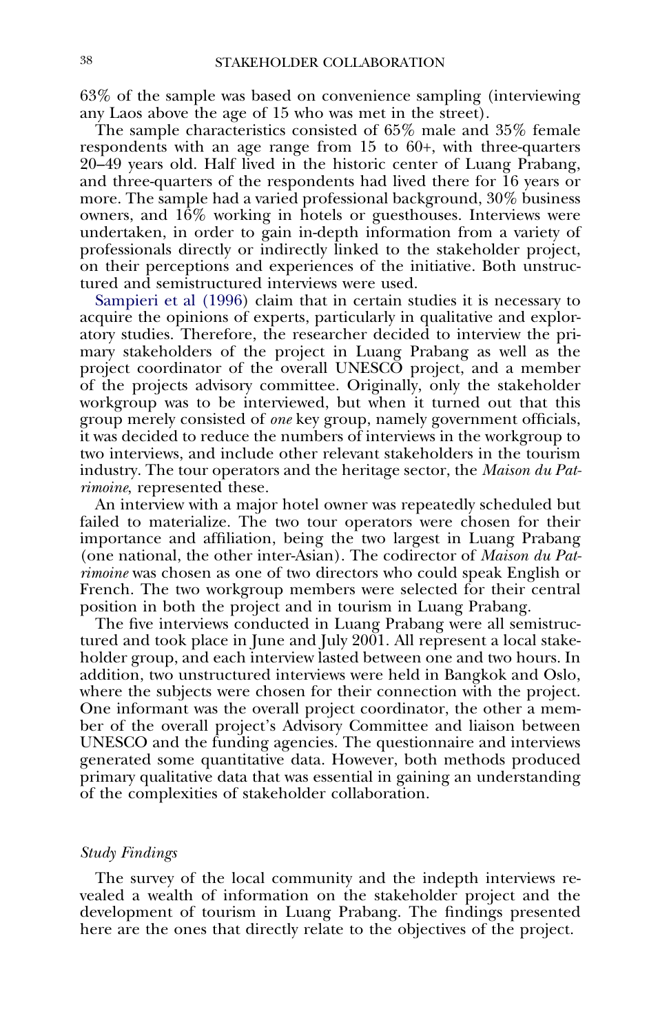63% of the sample was based on convenience sampling (interviewing any Laos above the age of 15 who was met in the street).

The sample characteristics consisted of 65% male and 35% female respondents with an age range from 15 to 60+, with three-quarters 20–49 years old. Half lived in the historic center of Luang Prabang, and three-quarters of the respondents had lived there for 16 years or more. The sample had a varied professional background, 30% business owners, and 16% working in hotels or guesthouses. Interviews were undertaken, in order to gain in-depth information from a variety of professionals directly or indirectly linked to the stakeholder project, on their perceptions and experiences of the initiative. Both unstructured and semistructured interviews were used.

[Sampieri et al \(1996](#page-19-0)) claim that in certain studies it is necessary to acquire the opinions of experts, particularly in qualitative and exploratory studies. Therefore, the researcher decided to interview the primary stakeholders of the project in Luang Prabang as well as the project coordinator of the overall UNESCO project, and a member of the projects advisory committee. Originally, only the stakeholder workgroup was to be interviewed, but when it turned out that this group merely consisted of one key group, namely government officials, it was decided to reduce the numbers of interviews in the workgroup to two interviews, and include other relevant stakeholders in the tourism industry. The tour operators and the heritage sector, the Maison du Patrimoine, represented these.

An interview with a major hotel owner was repeatedly scheduled but failed to materialize. The two tour operators were chosen for their importance and affiliation, being the two largest in Luang Prabang (one national, the other inter-Asian). The codirector of Maison du Patrimoine was chosen as one of two directors who could speak English or French. The two workgroup members were selected for their central position in both the project and in tourism in Luang Prabang.

The five interviews conducted in Luang Prabang were all semistructured and took place in June and July 2001. All represent a local stakeholder group, and each interview lasted between one and two hours. In addition, two unstructured interviews were held in Bangkok and Oslo, where the subjects were chosen for their connection with the project. One informant was the overall project coordinator, the other a member of the overall project's Advisory Committee and liaison between UNESCO and the funding agencies. The questionnaire and interviews generated some quantitative data. However, both methods produced primary qualitative data that was essential in gaining an understanding of the complexities of stakeholder collaboration.

#### Study Findings

The survey of the local community and the indepth interviews revealed a wealth of information on the stakeholder project and the development of tourism in Luang Prabang. The findings presented here are the ones that directly relate to the objectives of the project.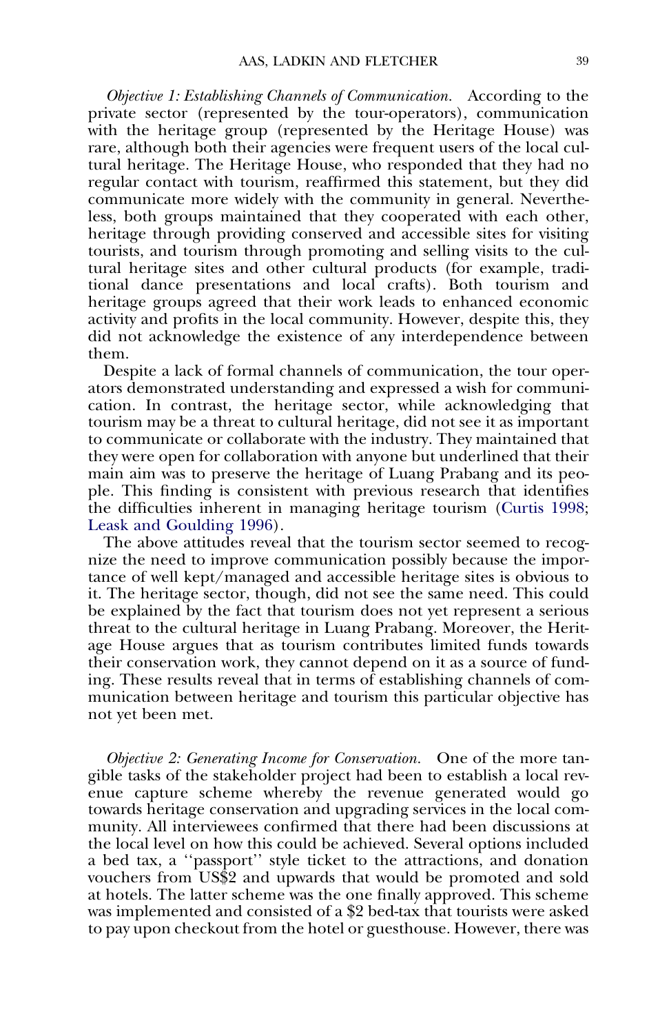Objective 1: Establishing Channels of Communication. According to the private sector (represented by the tour-operators), communication with the heritage group (represented by the Heritage House) was rare, although both their agencies were frequent users of the local cultural heritage. The Heritage House, who responded that they had no regular contact with tourism, reaffirmed this statement, but they did communicate more widely with the community in general. Nevertheless, both groups maintained that they cooperated with each other, heritage through providing conserved and accessible sites for visiting tourists, and tourism through promoting and selling visits to the cultural heritage sites and other cultural products (for example, traditional dance presentations and local crafts). Both tourism and heritage groups agreed that their work leads to enhanced economic activity and profits in the local community. However, despite this, they did not acknowledge the existence of any interdependence between them.

Despite a lack of formal channels of communication, the tour operators demonstrated understanding and expressed a wish for communication. In contrast, the heritage sector, while acknowledging that tourism may be a threat to cultural heritage, did not see it as important to communicate or collaborate with the industry. They maintained that they were open for collaboration with anyone but underlined that their main aim was to preserve the heritage of Luang Prabang and its people. This finding is consistent with previous research that identifies the difficulties inherent in managing heritage tourism [\(Curtis 1998;](#page-17-0) [Leask and Goulding 1996\)](#page-18-0).

The above attitudes reveal that the tourism sector seemed to recognize the need to improve communication possibly because the importance of well kept/managed and accessible heritage sites is obvious to it. The heritage sector, though, did not see the same need. This could be explained by the fact that tourism does not yet represent a serious threat to the cultural heritage in Luang Prabang. Moreover, the Heritage House argues that as tourism contributes limited funds towards their conservation work, they cannot depend on it as a source of funding. These results reveal that in terms of establishing channels of communication between heritage and tourism this particular objective has not yet been met.

Objective 2: Generating Income for Conservation. One of the more tangible tasks of the stakeholder project had been to establish a local revenue capture scheme whereby the revenue generated would go towards heritage conservation and upgrading services in the local community. All interviewees confirmed that there had been discussions at the local level on how this could be achieved. Several options included a bed tax, a ''passport'' style ticket to the attractions, and donation vouchers from US\$2 and upwards that would be promoted and sold at hotels. The latter scheme was the one finally approved. This scheme was implemented and consisted of a \$2 bed-tax that tourists were asked to pay upon checkout from the hotel or guesthouse. However, there was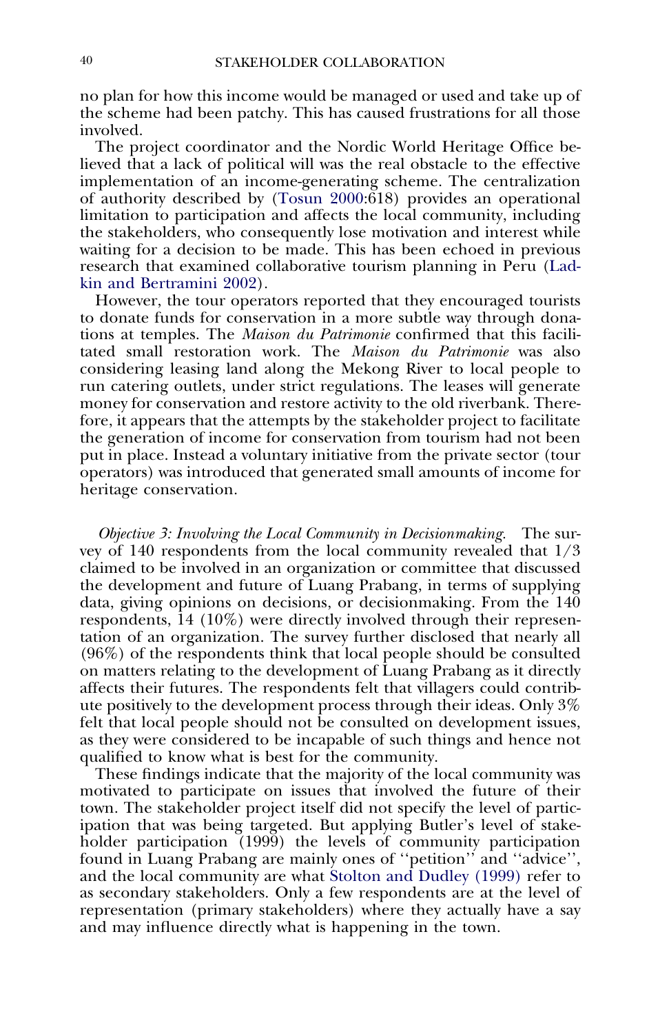no plan for how this income would be managed or used and take up of the scheme had been patchy. This has caused frustrations for all those involved.

The project coordinator and the Nordic World Heritage Office believed that a lack of political will was the real obstacle to the effective implementation of an income-generating scheme. The centralization of authority described by [\(Tosun 2000](#page-20-0):618) provides an operational limitation to participation and affects the local community, including the stakeholders, who consequently lose motivation and interest while waiting for a decision to be made. This has been echoed in previous research that examined collaborative tourism planning in Peru [\(Lad](#page-18-0)[kin and Bertramini 2002](#page-18-0)).

However, the tour operators reported that they encouraged tourists to donate funds for conservation in a more subtle way through donations at temples. The *Maison du Patrimonie* confirmed that this facilitated small restoration work. The Maison du Patrimonie was also considering leasing land along the Mekong River to local people to run catering outlets, under strict regulations. The leases will generate money for conservation and restore activity to the old riverbank. Therefore, it appears that the attempts by the stakeholder project to facilitate the generation of income for conservation from tourism had not been put in place. Instead a voluntary initiative from the private sector (tour operators) was introduced that generated small amounts of income for heritage conservation.

Objective 3: Involving the Local Community in Decisionmaking. The survey of 140 respondents from the local community revealed that 1/3 claimed to be involved in an organization or committee that discussed the development and future of Luang Prabang, in terms of supplying data, giving opinions on decisions, or decisionmaking. From the 140 respondents, 14 (10%) were directly involved through their representation of an organization. The survey further disclosed that nearly all (96%) of the respondents think that local people should be consulted on matters relating to the development of Luang Prabang as it directly affects their futures. The respondents felt that villagers could contribute positively to the development process through their ideas. Only 3% felt that local people should not be consulted on development issues, as they were considered to be incapable of such things and hence not qualified to know what is best for the community.

These findings indicate that the majority of the local community was motivated to participate on issues that involved the future of their town. The stakeholder project itself did not specify the level of participation that was being targeted. But applying Butler's level of stakeholder participation (1999) the levels of community participation found in Luang Prabang are mainly ones of ''petition'' and ''advice'', and the local community are what [Stolton and Dudley \(1999\)](#page-19-0) refer to as secondary stakeholders. Only a few respondents are at the level of representation (primary stakeholders) where they actually have a say and may influence directly what is happening in the town.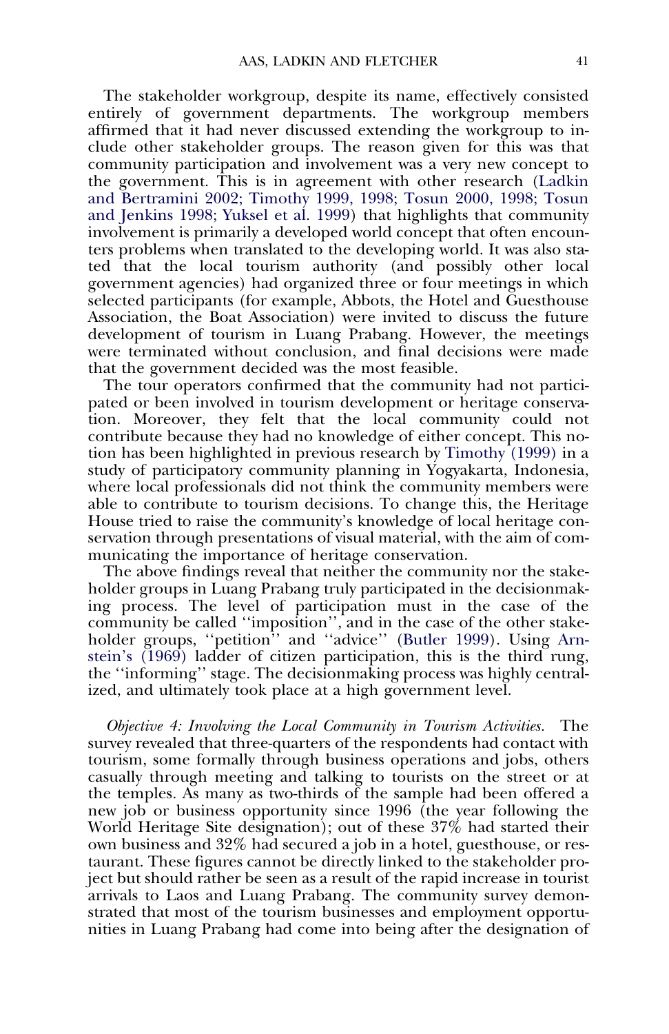The stakeholder workgroup, despite its name, effectively consisted entirely of government departments. The workgroup members affirmed that it had never discussed extending the workgroup to include other stakeholder groups. The reason given for this was that community participation and involvement was a very new concept to the government. This is in agreement with other research [\(Ladkin](#page-18-0) [and Bertramini 2002; Timothy 1999, 1998; Tosun 2000, 1998; Tosun](#page-18-0) [and Jenkins 1998; Yuksel et al. 1999\)](#page-18-0) that highlights that community involvement is primarily a developed world concept that often encounters problems when translated to the developing world. It was also stated that the local tourism authority (and possibly other local government agencies) had organized three or four meetings in which selected participants (for example, Abbots, the Hotel and Guesthouse Association, the Boat Association) were invited to discuss the future development of tourism in Luang Prabang. However, the meetings were terminated without conclusion, and final decisions were made that the government decided was the most feasible.

The tour operators confirmed that the community had not participated or been involved in tourism development or heritage conservation. Moreover, they felt that the local community could not contribute because they had no knowledge of either concept. This notion has been highlighted in previous research by [Timothy \(1999\)](#page-20-0) in a study of participatory community planning in Yogyakarta, Indonesia, where local professionals did not think the community members were able to contribute to tourism decisions. To change this, the Heritage House tried to raise the community's knowledge of local heritage conservation through presentations of visual material, with the aim of communicating the importance of heritage conservation.

The above findings reveal that neither the community nor the stakeholder groups in Luang Prabang truly participated in the decisionmaking process. The level of participation must in the case of the community be called ''imposition'', and in the case of the other stake-holder groups, "petition" and "advice" ([Butler 1999](#page-17-0)). Using [Arn](#page-17-0)[stein's \(1969\)](#page-17-0) ladder of citizen participation, this is the third rung, the ''informing'' stage. The decisionmaking process was highly centralized, and ultimately took place at a high government level.

Objective 4: Involving the Local Community in Tourism Activities. The survey revealed that three-quarters of the respondents had contact with tourism, some formally through business operations and jobs, others casually through meeting and talking to tourists on the street or at the temples. As many as two-thirds of the sample had been offered a new job or business opportunity since 1996 (the year following the World Heritage Site designation); out of these 37% had started their own business and 32% had secured a job in a hotel, guesthouse, or restaurant. These figures cannot be directly linked to the stakeholder project but should rather be seen as a result of the rapid increase in tourist arrivals to Laos and Luang Prabang. The community survey demonstrated that most of the tourism businesses and employment opportunities in Luang Prabang had come into being after the designation of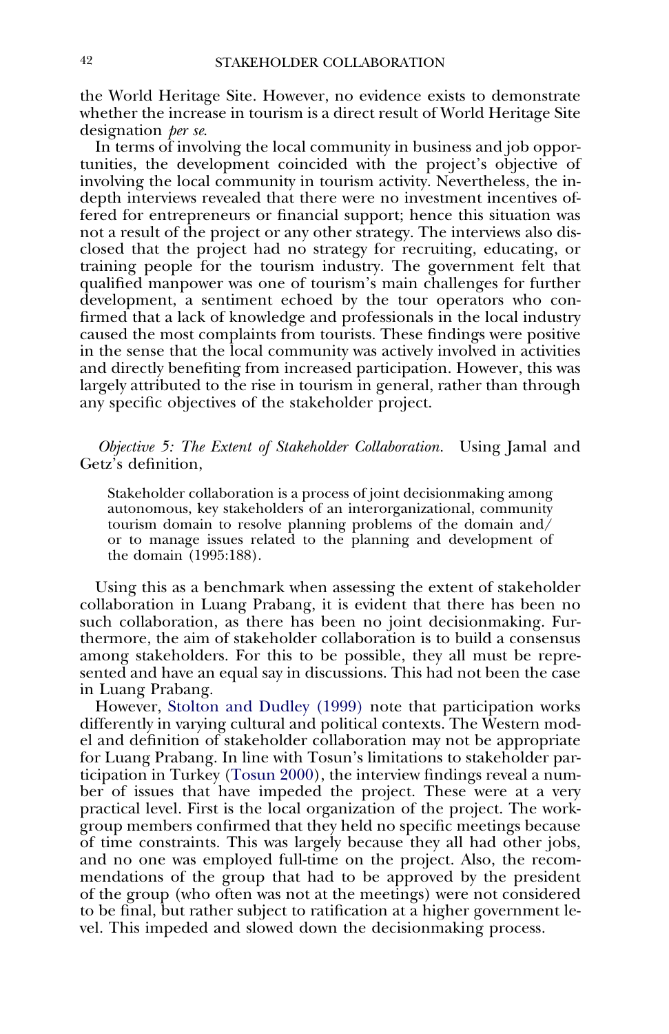the World Heritage Site. However, no evidence exists to demonstrate whether the increase in tourism is a direct result of World Heritage Site designation *per se.* 

In terms of involving the local community in business and job opportunities, the development coincided with the project's objective of involving the local community in tourism activity. Nevertheless, the indepth interviews revealed that there were no investment incentives offered for entrepreneurs or financial support; hence this situation was not a result of the project or any other strategy. The interviews also disclosed that the project had no strategy for recruiting, educating, or training people for the tourism industry. The government felt that qualified manpower was one of tourism's main challenges for further development, a sentiment echoed by the tour operators who confirmed that a lack of knowledge and professionals in the local industry caused the most complaints from tourists. These findings were positive in the sense that the local community was actively involved in activities and directly benefiting from increased participation. However, this was largely attributed to the rise in tourism in general, rather than through any specific objectives of the stakeholder project.

Objective 5: The Extent of Stakeholder Collaboration. Using Jamal and Getz's definition,

Stakeholder collaboration is a process of joint decisionmaking among autonomous, key stakeholders of an interorganizational, community tourism domain to resolve planning problems of the domain and/ or to manage issues related to the planning and development of the domain (1995:188).

Using this as a benchmark when assessing the extent of stakeholder collaboration in Luang Prabang, it is evident that there has been no such collaboration, as there has been no joint decisionmaking. Furthermore, the aim of stakeholder collaboration is to build a consensus among stakeholders. For this to be possible, they all must be represented and have an equal say in discussions. This had not been the case in Luang Prabang.

However, [Stolton and Dudley \(1999\)](#page-19-0) note that participation works differently in varying cultural and political contexts. The Western model and definition of stakeholder collaboration may not be appropriate for Luang Prabang. In line with Tosun's limitations to stakeholder participation in Turkey ([Tosun 2000](#page-20-0)), the interview findings reveal a number of issues that have impeded the project. These were at a very practical level. First is the local organization of the project. The workgroup members confirmed that they held no specific meetings because of time constraints. This was largely because they all had other jobs, and no one was employed full-time on the project. Also, the recommendations of the group that had to be approved by the president of the group (who often was not at the meetings) were not considered to be final, but rather subject to ratification at a higher government level. This impeded and slowed down the decisionmaking process.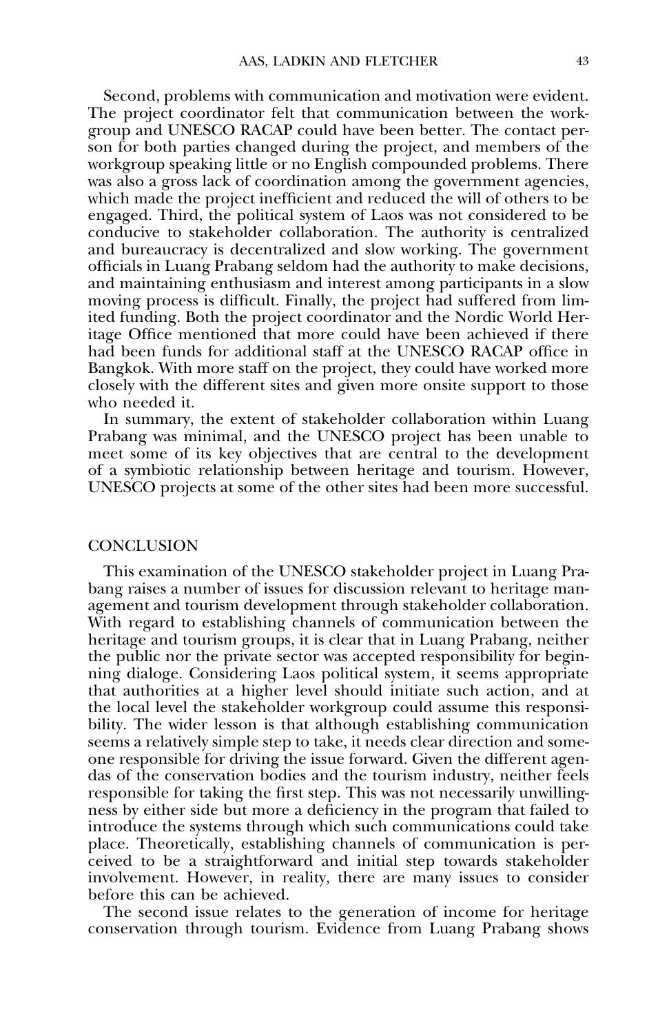Second, problems with communication and motivation were evident. The project coordinator felt that communication between the workgroup and UNESCO RACAP could have been better. The contact person for both parties changed during the project, and members of the workgroup speaking little or no English compounded problems. There was also a gross lack of coordination among the government agencies, which made the project inefficient and reduced the will of others to be engaged. Third, the political system of Laos was not considered to be conducive to stakeholder collaboration. The authority is centralized and bureaucracy is decentralized and slow working. The government officials in Luang Prabang seldom had the authority to make decisions, and maintaining enthusiasm and interest among participants in a slow moving process is difficult. Finally, the project had suffered from limited funding. Both the project coordinator and the Nordic World Heritage Office mentioned that more could have been achieved if there had been funds for additional staff at the UNESCO RACAP office in Bangkok. With more staff on the project, they could have worked more closely with the different sites and given more onsite support to those who needed it.

In summary, the extent of stakeholder collaboration within Luang Prabang was minimal, and the UNESCO project has been unable to meet some of its key objectives that are central to the development of a symbiotic relationship between heritage and tourism. However, UNESCO projects at some of the other sites had been more successful.

#### **CONCLUSION**

This examination of the UNESCO stakeholder project in Luang Prabang raises a number of issues for discussion relevant to heritage management and tourism development through stakeholder collaboration. With regard to establishing channels of communication between the heritage and tourism groups, it is clear that in Luang Prabang, neither the public nor the private sector was accepted responsibility for beginning dialoge. Considering Laos political system, it seems appropriate that authorities at a higher level should initiate such action, and at the local level the stakeholder workgroup could assume this responsibility. The wider lesson is that although establishing communication seems a relatively simple step to take, it needs clear direction and someone responsible for driving the issue forward. Given the different agendas of the conservation bodies and the tourism industry, neither feels responsible for taking the first step. This was not necessarily unwillingness by either side but more a deficiency in the program that failed to introduce the systems through which such communications could take place. Theoretically, establishing channels of communication is perceived to be a straightforward and initial step towards stakeholder involvement. However, in reality, there are many issues to consider before this can be achieved.

The second issue relates to the generation of income for heritage conservation through tourism. Evidence from Luang Prabang shows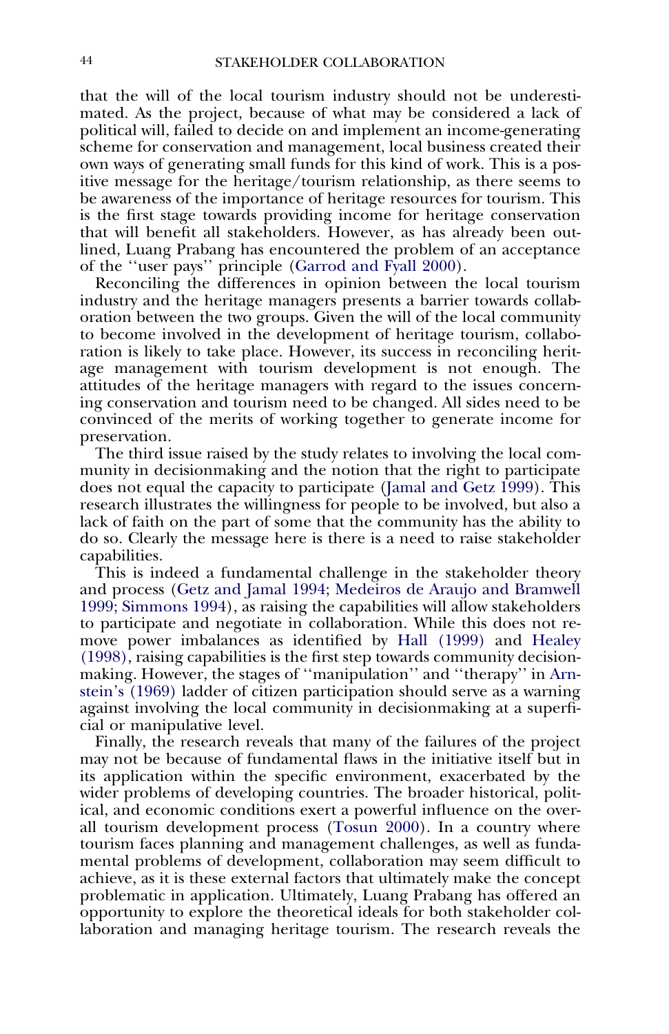that the will of the local tourism industry should not be underestimated. As the project, because of what may be considered a lack of political will, failed to decide on and implement an income-generating scheme for conservation and management, local business created their own ways of generating small funds for this kind of work. This is a positive message for the heritage/tourism relationship, as there seems to be awareness of the importance of heritage resources for tourism. This is the first stage towards providing income for heritage conservation that will benefit all stakeholders. However, as has already been outlined, Luang Prabang has encountered the problem of an acceptance of the ''user pays'' principle [\(Garrod and Fyall 2000\)](#page-18-0).

Reconciling the differences in opinion between the local tourism industry and the heritage managers presents a barrier towards collaboration between the two groups. Given the will of the local community to become involved in the development of heritage tourism, collaboration is likely to take place. However, its success in reconciling heritage management with tourism development is not enough. The attitudes of the heritage managers with regard to the issues concerning conservation and tourism need to be changed. All sides need to be convinced of the merits of working together to generate income for preservation.

The third issue raised by the study relates to involving the local community in decisionmaking and the notion that the right to participate does not equal the capacity to participate [\(Jamal and Getz 1999\)](#page-18-0). This research illustrates the willingness for people to be involved, but also a lack of faith on the part of some that the community has the ability to do so. Clearly the message here is there is a need to raise stakeholder capabilities.

This is indeed a fundamental challenge in the stakeholder theory and process ([Getz and Jamal 1994;](#page-18-0) [Medeiros de Araujo and Bramwell](#page-18-0) [1999; Simmons 1994\)](#page-18-0), as raising the capabilities will allow stakeholders to participate and negotiate in collaboration. While this does not remove power imbalances as identified by [Hall \(1999\)](#page-18-0) and [Healey](#page-18-0) [\(1998\)](#page-18-0), raising capabilities is the first step towards community decisionmaking. However, the stages of ''manipulation'' and ''therapy'' in [Arn](#page-17-0)[stein's \(1969\)](#page-17-0) ladder of citizen participation should serve as a warning against involving the local community in decisionmaking at a superficial or manipulative level.

Finally, the research reveals that many of the failures of the project may not be because of fundamental flaws in the initiative itself but in its application within the specific environment, exacerbated by the wider problems of developing countries. The broader historical, political, and economic conditions exert a powerful influence on the overall tourism development process ([Tosun 2000](#page-20-0)). In a country where tourism faces planning and management challenges, as well as fundamental problems of development, collaboration may seem difficult to achieve, as it is these external factors that ultimately make the concept problematic in application. Ultimately, Luang Prabang has offered an opportunity to explore the theoretical ideals for both stakeholder collaboration and managing heritage tourism. The research reveals the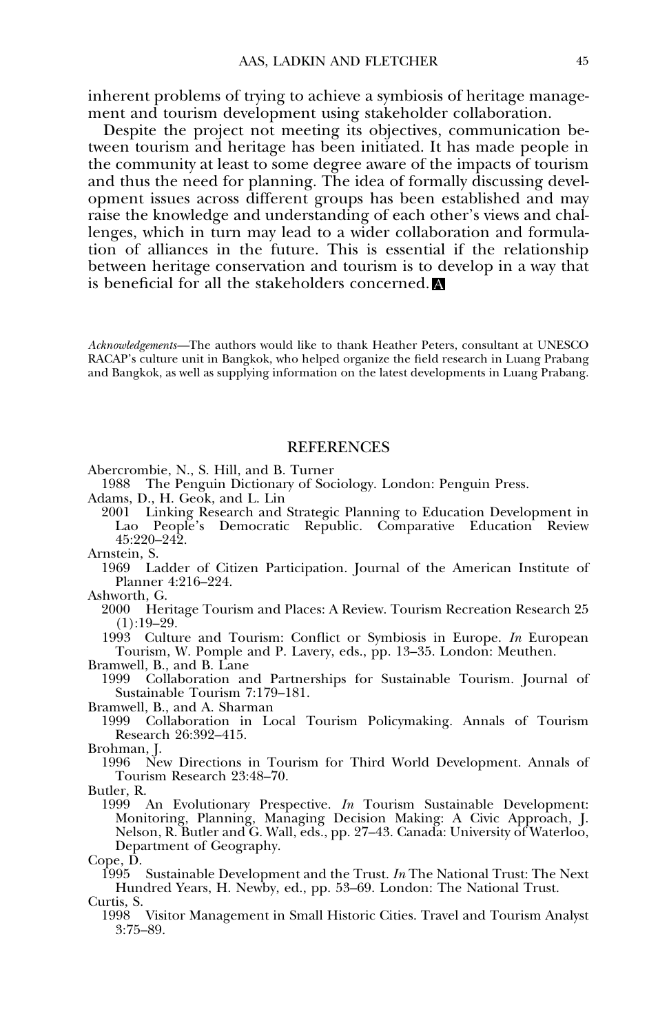<span id="page-17-0"></span>inherent problems of trying to achieve a symbiosis of heritage management and tourism development using stakeholder collaboration.

Despite the project not meeting its objectives, communication between tourism and heritage has been initiated. It has made people in the community at least to some degree aware of the impacts of tourism and thus the need for planning. The idea of formally discussing development issues across different groups has been established and may raise the knowledge and understanding of each other's views and challenges, which in turn may lead to a wider collaboration and formulation of alliances in the future. This is essential if the relationship between heritage conservation and tourism is to develop in a way that is beneficial for all the stakeholders concerned.

Acknowledgements—The authors would like to thank Heather Peters, consultant at UNESCO RACAP's culture unit in Bangkok, who helped organize the field research in Luang Prabang and Bangkok, as well as supplying information on the latest developments in Luang Prabang.

### **REFERENCES**

Abercrombie, N., S. Hill, and B. Turner

1988 The Penguin Dictionary of Sociology. London: Penguin Press.

Adams, D., H. Geok, and L. Lin

2001 Linking Research and Strategic Planning to Education Development in Lao People's Democratic Republic. Comparative Education Review 45:220–242.

Arnstein, S.

1969 Ladder of Citizen Participation. Journal of the American Institute of Planner 4:216–224.

Ashworth, G.

2000 Heritage Tourism and Places: A Review. Tourism Recreation Research 25  $(1):19-29.$ 

1993 Culture and Tourism: Conflict or Symbiosis in Europe. In European Tourism, W. Pomple and P. Lavery, eds., pp. 13–35. London: Meuthen.

Bramwell, B., and B. Lane

1999 Collaboration and Partnerships for Sustainable Tourism. Journal of Sustainable Tourism 7:179–181.

Bramwell, B., and A. Sharman

1999 Collaboration in Local Tourism Policymaking. Annals of Tourism Research 26:392–415.

Brohman, J.

1996 New Directions in Tourism for Third World Development. Annals of Tourism Research 23:48–70.

Butler, R.

1999 An Evolutionary Prespective. In Tourism Sustainable Development: Monitoring, Planning, Managing Decision Making: A Civic Approach, J. Nelson, R. Butler and G. Wall, eds., pp. 27–43. Canada: University of Waterloo, Department of Geography.

Cope, D.

1995 Sustainable Development and the Trust. In The National Trust: The Next Hundred Years, H. Newby, ed., pp. 53–69. London: The National Trust. Curtis, S.

1998 Visitor Management in Small Historic Cities. Travel and Tourism Analyst 3:75–89.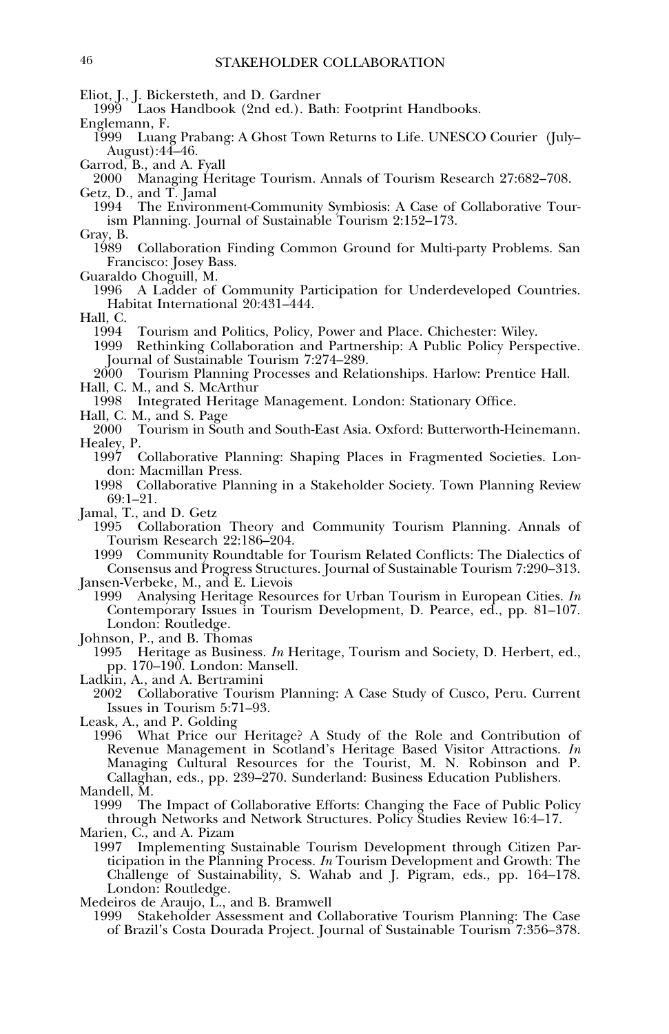<span id="page-18-0"></span>Eliot, J., J. Bickersteth, and D. Gardner

- 1999 Laos Handbook (2nd ed.). Bath: Footprint Handbooks.
- Englemann, F.

1999 Luang Prabang: A Ghost Town Returns to Life. UNESCO Courier (July– August):44–46.

Garrod, B., and A. Fyall

2000 Managing Heritage Tourism. Annals of Tourism Research 27:682–708. Getz, D., and T. Jamal<br>1994 The Environi

1994 The Environment-Community Symbiosis: A Case of Collaborative Tour- ism Planning. Journal of Sustainable Tourism 2:152–173.

Gray, B.

- 1989 Collaboration Finding Common Ground for Multi-party Problems. San Francisco: Josey Bass.
- Guaraldo Choguill, M.
	- 1996 A Ladder of Community Participation for Underdeveloped Countries. Habitat International 20:431–444.
- Hall, C.
	- Tourism and Politics, Policy, Power and Place. Chichester: Wiley.
	- 1999 Rethinking Collaboration and Partnership: A Public Policy Perspective. Journal of Sustainable Tourism 7:274–289.

2000 Tourism Planning Processes and Relationships. Harlow: Prentice Hall. Hall, C. M., and S. McArthur

1998 Integrated Heritage Management. London: Stationary Office.

Hall, C. M., and S. Page

2000 Tourism in South and South-East Asia. Oxford: Butterworth-Heinemann. Healey, P.

- 1997 Collaborative Planning: Shaping Places in Fragmented Societies. London: Macmillan Press.
- 1998 Collaborative Planning in a Stakeholder Society. Town Planning Review 69:1–21.

Jamal, T., and D. Getz

1995 Collaboration Theory and Community Tourism Planning. Annals of Tourism Research 22:186–204.

1999 Community Roundtable for Tourism Related Conflicts: The Dialectics of Consensus and Progress Structures. Journal of Sustainable Tourism 7:290–313. Jansen-Verbeke, M., and E. Lievois

- 1999 Analysing Heritage Resources for Urban Tourism in European Cities. In Contemporary Issues in Tourism Development, D. Pearce, ed., pp. 81–107. London: Routledge.
- Johnson, P., and B. Thomas
- 1995 Heritage as Business. *In* Heritage, Tourism and Society, D. Herbert, ed., pp. 170–190. London: Mansell.
- Ladkin, A., and A. Bertramini
	- 2002 Collaborative Tourism Planning: A Case Study of Cusco, Peru. Current Issues in Tourism 5:71–93.

Leask, A., and P. Golding

- 1996 What Price our Heritage? A Study of the Role and Contribution of Revenue Management in Scotland's Heritage Based Visitor Attractions. In Managing Cultural Resources for the Tourist, M. N. Robinson and P. Callaghan, eds., pp. 239–270. Sunderland: Business Education Publishers.
- Mandell, M.

1999 The Impact of Collaborative Efforts: Changing the Face of Public Policy through Networks and Network Structures. Policy Studies Review 16:4–17.

Marien, C., and A. Pizam<br>1997 Implementing S

97 Implementing Sustainable Tourism Development through Citizen Participation in the Planning Process.  $In$  Tourism Development and Growth: The Challenge of Sustainability, S. Wahab and J. Pigram, eds., pp. 164–178. London: Routledge.

Medeiros de Araujo, L., and B. Bramwell

1999 Stakeholder Assessment and Collaborative Tourism Planning: The Case of Brazil's Costa Dourada Project. Journal of Sustainable Tourism 7:356–378.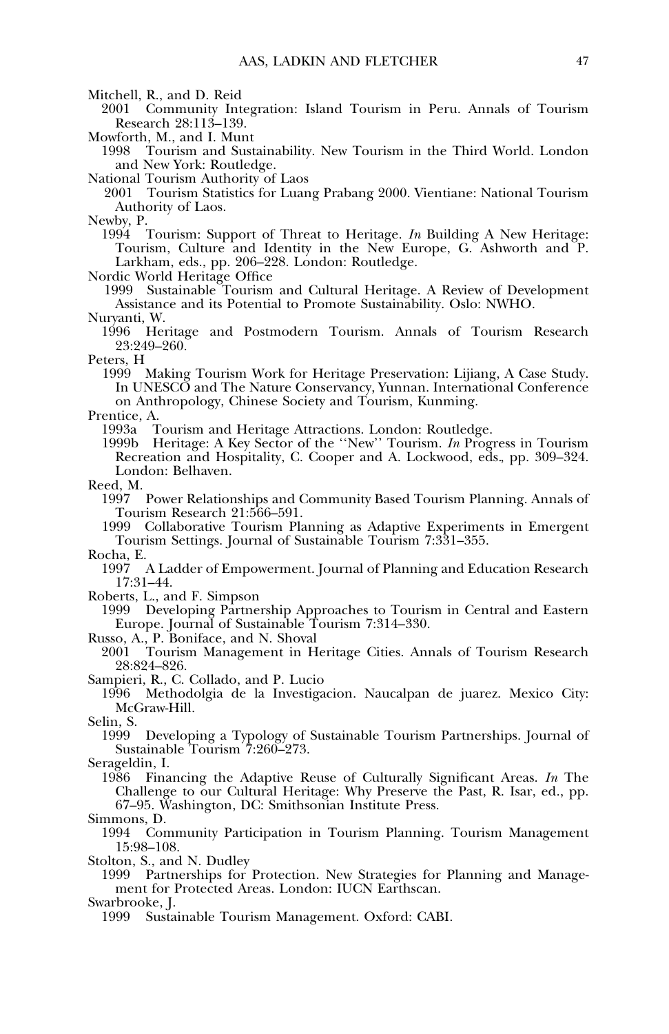<span id="page-19-0"></span>Mitchell, R., and D. Reid

2001 Community Integration: Island Tourism in Peru. Annals of Tourism Research 28:113–139.

Mowforth, M., and I. Munt

1998 Tourism and Sustainability. New Tourism in the Third World. London and New York: Routledge.

National Tourism Authority of Laos

2001 Tourism Statistics for Luang Prabang 2000. Vientiane: National Tourism Authority of Laos.

Newby, P.<br>1994

Tourism: Support of Threat to Heritage. In Building A New Heritage: Tourism, Culture and Identity in the New Europe, G. Ashworth and P. Larkham, eds., pp. 206–228. London: Routledge.

Nordic World Heritage Office

1999 Sustainable Tourism and Cultural Heritage. A Review of Development Assistance and its Potential to Promote Sustainability. Oslo: NWHO.

Nuryanti, W.

1996 Heritage and Postmodern Tourism. Annals of Tourism Research 23:249–260.

Peters, H

1999 Making Tourism Work for Heritage Preservation: Lijiang, A Case Study. In UNESCO and The Nature Conservancy, Yunnan. International Conference on Anthropology, Chinese Society and Tourism, Kunming.

Prentice, A.

1993a Tourism and Heritage Attractions. London: Routledge.

1999b Heritage: A Key Sector of the ''New'' Tourism. In Progress in Tourism Recreation and Hospitality, C. Cooper and A. Lockwood, eds., pp. 309–324. London: Belhaven.

Reed, M.

1997 Power Relationships and Community Based Tourism Planning. Annals of Tourism Research 21:566–591.

1999 Collaborative Tourism Planning as Adaptive Experiments in Emergent Tourism Settings. Journal of Sustainable Tourism 7:331–355.

Rocha, E.

A Ladder of Empowerment. Journal of Planning and Education Research 17:31–44.

Roberts, L., and F. Simpson

1999 Developing Partnership Approaches to Tourism in Central and Eastern Europe. Journal of Sustainable Tourism 7:314–330.

Russo, A., P. Boniface, and N. Shoval

2001 Tourism Management in Heritage Cities. Annals of Tourism Research 28:824–826.

Sampieri, R., C. Collado, and P. Lucio

1996 Methodolgia de la Investigacion. Naucalpan de juarez. Mexico City: McGraw-Hill.

Selin, S.

1999 Developing a Typology of Sustainable Tourism Partnerships. Journal of Sustainable Tourism 7:260–273.

Serageldin, I.

1986 Financing the Adaptive Reuse of Culturally Significant Areas. In The Challenge to our Cultural Heritage: Why Preserve the Past, R. Isar, ed., pp. 67–95. Washington, DC: Smithsonian Institute Press.

Simmons, D.

1994 Community Participation in Tourism Planning. Tourism Management 15:98–108.

Stolton, S., and N. Dudley

1999 Partnerships for Protection. New Strategies for Planning and Management for Protected Areas. London: IUCN Earthscan.

Swarbrooke, J.

1999 Sustainable Tourism Management. Oxford: CABI.